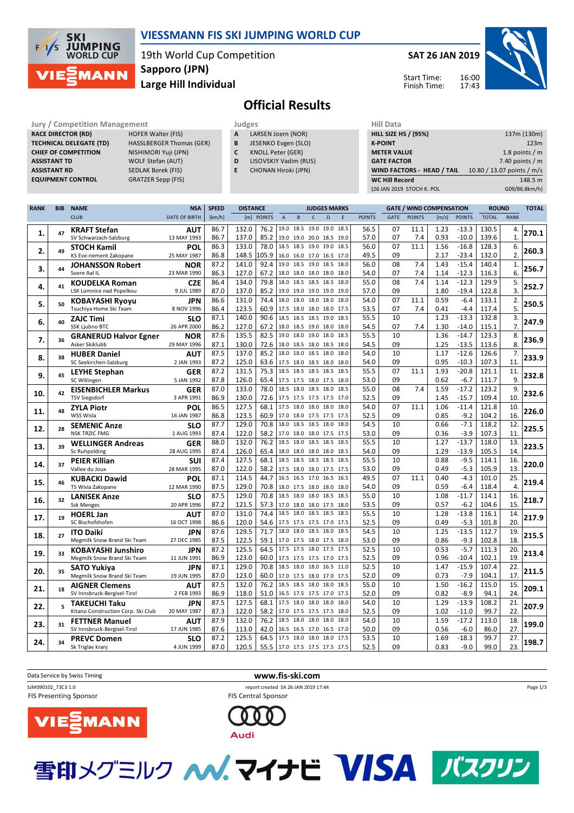

## **VIESSMANN FIS SKI JUMPING WORLD CUP**

19th World Cup Competition **Large Hill Individual Sapporo (JPN)**

**SAT 26 JAN 2019**

Start Time: Finish Time:



## **Official Results**

**Jury / Competition Management development development of the Judges of American Hill Data RACE DIRECTOR (RD) HOFER Walter (FIS) TECHNICAL DELEGATE (TD)** HASSLBERGER Thomas (GER) **CHIEF OF COMPETITION** NISHIMORI Yuji (JPN) **ASSISTANT TD** WOLF Stefan (AUT) **ASSISTANT RD** SEDLAK Borek (FIS)

**EQUIPMENT CONTROL** GRATZER Sepp (FIS)

- 
- **A** LARSEN Joern (NOR) **B** JESENKO Evgen (SLO)
- **C** KNOLL Peter (GER)
- **D** LISOVSKIY Vadim (RUS)
- **E** CHONAN Hiroki (JPN)

| niil Data                   |                            |
|-----------------------------|----------------------------|
| <b>HILL SIZE HS / (95%)</b> | 137m (130m)                |
| <b>K-POINT</b>              | 123m                       |
| <b>METER VALUE</b>          | 1.8 points $/m$            |
| <b>GATE FACTOR</b>          | 7.40 points $/m$           |
| WIND FACTORS - HEAD / TAIL  | 10.80 / 13.07 points / m/s |
| <b>WC Hill Record</b>       | 148.5 m                    |
| (26 JAN 2019 STOCH K. POL   | G09/86.8km/h)              |
|                             |                            |

| RANK | <b>BIB</b> | <b>NAME</b>                                          | <b>NSA</b>           | <b>SPEED</b> | <b>DISTANCE</b>                | <b>JUDGES MARKS</b>                                  |                |   |      | <b>GATE / WIND COMPENSATION</b> |          |               |              | <b>ROUND</b>       |                | <b>TOTAL</b>     |       |
|------|------------|------------------------------------------------------|----------------------|--------------|--------------------------------|------------------------------------------------------|----------------|---|------|---------------------------------|----------|---------------|--------------|--------------------|----------------|------------------|-------|
|      |            | <b>CLUB</b>                                          | <b>DATE OF BIRTH</b> | [km/h]       | [m]<br><b>POINTS</b>           | $\mathsf A$<br>B                                     | $\mathsf{C}$   | D | E    | <b>POINTS</b>                   | GATE     | <b>POINTS</b> | [m/s]        | <b>POINTS</b>      | <b>TOTAL</b>   | <b>RANK</b>      |       |
|      |            | <b>KRAFT Stefan</b>                                  | <b>AUT</b>           | 86.7         | 132.0<br>76.2                  | 19.0 18.5 19.0 19.0 18.5                             |                |   |      | 56.5                            | 07       | 11.1          | 1.23         | $-13.3$            | 130.5          | 4.               |       |
| 1.   | 47         | SV Schwarzach-Salzburg                               | 13 MAY 1993          | 86.7         | 137.0<br>85.2                  | 19.0 19.0 20.0 18.5 19.0                             |                |   |      | 57.0                            | 07       | 7.4           | 0.93         | $-10.0$            | 139.6          | $\mathbf{1}$     | 270.1 |
|      |            | <b>STOCH Kamil</b>                                   | POL                  | 86.3         | 133.0<br>78.0                  | 18.5 18.5 19.0 19.0 18.5                             |                |   |      | 56.0                            | 07       | 11.1          | 1.56         | $-16.8$            | 128.3          | 6.               |       |
| 2.   | 49         | KS Eve-nement Zakopane                               | 25 MAY 1987          | 86.8         | 148.5<br>LO5.9                 | 16.0 16.0 17.0 16.5 17.0                             |                |   |      | 49.5                            | 09       |               | 2.17         | $-23.4$            | 132.0          | 2.               | 260.3 |
|      |            | <b>JOHANSSON Robert</b>                              | <b>NOR</b>           | 87.2         | 141.0<br>92.4                  | 19.0 18.5 19.0 18.5 18.0                             |                |   |      | 56.0                            | 08       | 7.4           | 1.43         | $-15.4$            | 140.4          | $\mathbf{1}$ .   |       |
| з.   | 44         | Soere Aal IL                                         | 23 MAR 1990          | 86.3         | 127.0<br>67.2                  | 18.0 18.0 18.0 18.0 18.0                             |                |   |      | 54.0                            | 07       | 7.4           | 1.14         | $-12.3$            | 116.3          | 6.               | 256.7 |
| 4.   | 41         | <b>KOUDELKA Roman</b>                                | <b>CZE</b>           | 86.4         | 134.0<br>79.8                  | 18.0 18.5 18.5 18.5                                  |                |   | 18.0 | 55.0                            | 08       | 7.4           | 1.14         | $-12.3$            | 129.9          | 5.               | 252.7 |
|      |            | LSK Lomnice nad Popelkou                             | 9 JUL 1989           | 87.0         | 137.0<br>85.2                  | 19.0 19.0 19.0 19.0 19.0                             |                |   |      | 57.0                            | 09       |               | 1.80         | $-19.4$            | 122.8          | 3.               |       |
| 5.   | 50         | <b>KOBAYASHI Ryoyu</b>                               | <b>JPN</b>           | 86.6         | 131.0<br>74.4                  | 18.0 18.0 18.0 18.0                                  |                |   | 18.0 | 54.0                            | 07       | 11.1          | 0.59         | $-6.4$             | 133.1          | 2.               | 250.5 |
|      |            | Tsuchiya Home Ski Team                               | 8 NOV 1996           | 86.4         | 123.5<br>60.9                  | 17.5 18.0 18.0 18.0 17.5                             |                |   |      | 53.5                            | 07       | 7.4           | 0.41         | $-4.4$             | 117.4          | 5.               |       |
| 6.   | 40         | <b>ZAJC Timi</b>                                     | <b>SLO</b>           | 87.1         | 140.0<br>90.6                  | 18.5 18.5 18.5 19.0                                  |                |   | 18.5 | 55.5                            | 10       |               | 1.23         | $-13.3$            | 132.8          | 3.               | 247.9 |
|      |            | <b>SSK Ljubno BTC</b>                                | 26 APR 2000          | 86.2         | 127.0<br>67.2                  | 18.0 18.5 19.0 18.0 18.0                             |                |   |      | 54.5                            | 07       | 7.4           | 1.30         | $-14.0$            | 115.1          | 7.               |       |
| 7.   | 36         | <b>GRANERUD Halvor Egner</b>                         | <b>NOR</b>           | 87.6         | 135.5<br>82.5                  | 19.0 18.0 19.0 18.0                                  |                |   | 18.5 | 55.5                            | 10       |               | 1.36         | $-14.7$            | 123.3          | 8.               | 236.9 |
|      |            | Asker Skiklubb                                       | 29 MAY 1996          | 87.1         | 130.0<br>72.6                  | 18.0 18.5 18.0 18.5 18.0                             |                |   |      | 54.5                            | 09       |               | 1.25         | $-13.5$            | 113.6          | 8.               |       |
| 8.   | 38         | <b>HUBER Daniel</b>                                  | <b>AUT</b>           | 87.5         | 137.0<br>85.2                  | 18.0 18.0 18.5 18.0                                  |                |   | 18.0 | 54.0                            | 10       |               | 1.17         | $-12.6$            | 126.6          | 7.               | 233.9 |
|      |            | SC Seekirchen-Salzburg                               | 2 JAN 1993           | 87.2         | 125.0<br>63.6                  | 17.5 18.0 18.5 18.0 18.0                             |                |   |      | 54.0                            | 09       |               | 0.95         | $-10.3$            | 107.3          | 11.              |       |
| 9.   | 45         | <b>LEYHE Stephan</b>                                 | <b>GER</b>           | 87.2         | 131.5<br>75.3                  | 18.5 18.5 18.5 18.5 18.5                             |                |   |      | 55.5                            | 07       | 11.1          | 1.93         | $-20.8$            | 121.1          | 11.              | 232.8 |
|      |            | SC Willingen                                         | 5 JAN 1992           | 87.8         | 126.0<br>65.4                  | 17.5 17.5 18.0 17.5 18.0                             |                |   | 18.5 | 53.0                            | 09       |               | 0.62         | $-6.7$             | 111.7          | 9.               |       |
| 10.  | 42         | <b>EISENBICHLER Markus</b>                           | <b>GER</b>           | 87.0         | 133.0<br>78.0                  | 18.5 18.0 18.5 18.0                                  |                |   |      | 55.0                            | 08       | 7.4           | 1.59         | $-17.2$            | 123.2          | 9.<br>10.        | 232.6 |
|      |            | <b>TSV Siegsdorf</b>                                 | 3 APR 1991           | 86.9<br>86.5 | 130.0<br>72.6<br>127.5<br>68.1 | 17.5 17.5 17.5 17.5 17.0<br>17.5 18.0 18.0 18.0 18.0 |                |   |      | 52.5<br>54.0                    | 09<br>07 | 11.1          | 1.45<br>1.06 | $-15.7$<br>$-11.4$ | 109.4<br>121.8 | 10.              |       |
| 11.  | 48         | <b>ZYLA Piotr</b><br>WSS Wisla                       | POL<br>16 JAN 1987   | 86.8         | 123.5<br>60.9                  | 17.0 18.0 17.5 17.5 17.5                             |                |   |      | 52.5                            | 09       |               | 0.85         | $-9.2$             | 104.2          | 16.              | 226.0 |
|      |            |                                                      | <b>SLO</b>           | 87.7         | 129.0<br>70.8                  | 18.0                                                 | 18.5 18.5 18.0 |   | 18.0 | 54.5                            | 10       |               | 0.66         | $-7.1$             | 118.2          | 12.              |       |
| 12.  | 28         | <b>SEMENIC Anze</b><br><b>NSK TRZIC FMG</b>          | 1 AUG 1993           | 87.4         | 58.2<br>122.0                  | 17.0 18.0 18.0 17.5 17.5                             |                |   |      | 53.0                            | 09       |               | 0.36         | $-3.9$             | 107.3          | 11.              | 225.5 |
|      |            | <b>WELLINGER Andreas</b>                             | <b>GER</b>           | 88.0         | 76.2<br>132.0                  | 18.5                                                 | 18.0 18.5 18.5 |   | 18.5 | 55.5                            | 10       |               | 1.27         | $-13.7$            | 118.0          | 13.              |       |
| 13.  | 39         | Sc Ruhpolding                                        | 28 AUG 1995          | 87.4         | 126.0<br>65.4                  | 18.0 18.0 18.0 18.0 18.5                             |                |   |      | 54.0                            | 09       |               | 1.29         | $-13.9$            | 105.5          | 14.              | 223.5 |
|      |            | <b>PEIER Killian</b>                                 | <b>SUI</b>           | 87.4         | 127.5<br>68.1                  | 18.5 18.5 18.5 18.5 18.5                             |                |   |      | 55.5                            | 10       |               | 0.88         | $-9.5$             | 114.1          | 16.              |       |
| 14.  | 37         | Vallee du Joux                                       | 28 MAR 1995          | 87.0         | 122.0<br>58.2                  | 17.5 18.0 18.0 17.5 17.5                             |                |   |      | 53.0                            | 09       |               | 0.49         | $-5.3$             | 105.9          | 13.              | 220.0 |
|      |            | <b>KUBACKI Dawid</b>                                 | POL                  | 87.1         | 114.5<br>44.7                  | 16.5 16.5 17.0 16.5 16.5                             |                |   |      | 49.5                            | 07       | 11.1          | 0.40         | $-4.3$             | 101.0          | 25.              |       |
| 15.  | 46         | TS Wisla Zakopane                                    | 12 MAR 1990          | 87.5         | 129.0<br>70.8                  | 18.0 17.5 18.0 18.0 18.0                             |                |   |      | 54.0                            | 09       |               | 0.59         | $-6.4$             | 118.4          | $\overline{4}$ . | 219.4 |
|      |            | <b>LANISEK Anze</b>                                  | <b>SLO</b>           | 87.5         | 129.0<br>70.8                  | 18.5 18.0 18.0 18.5 18.5                             |                |   |      | 55.0                            | 10       |               | 1.08         | $-11.7$            | 114.1          | 16.              |       |
| 16.  | 32         | <b>Ssk Menges</b>                                    | 20 APR 1996          | 87.2         | 121.5<br>57.3                  | 17.0 18.0 18.0 17.5 18.0                             |                |   |      | 53.5                            | 09       |               | 0.57         | $-6.2$             | 104.6          | 15.              | 218.7 |
|      | 19         | <b>HOERL Jan</b>                                     | AUT                  | 87.0         | 131.0<br>74.4                  | 18.5 18.0 18.5 18.5 18.5                             |                |   |      | 55.5                            | 10       |               | 1.28         | $-13.8$            | 116.1          | 14.              | 217.9 |
| 17.  |            | SC Bischofshofen                                     | 16 OCT 1998          | 86.6         | 120.0<br>54.6                  | 17.5 17.5 17.5 17.0 17.5                             |                |   |      | 52.5                            | 09       |               | 0.49         | $-5.3$             | 101.8          | 20.              |       |
| 18.  | 27         | <b>ITO Daiki</b>                                     | JPN                  | 87.6         | 129.5<br>71.7                  | 18.0 18.0 18.5 18.0 18.5                             |                |   |      | 54.5                            | 10       |               | 1.25         | $-13.5$            | 112.7          | 19.              | 215.5 |
|      |            | Megmilk Snow Brand Ski Team                          | 27 DEC 1985          | 87.5         | 122.5<br>59.1                  | 17.0 17.5 18.0 17.5 18.0                             |                |   |      | 53.0                            | 09       |               | 0.86         | $-9.3$             | 102.8          | 18.              |       |
| 19.  | 33         | <b>KOBAYASHI Junshiro</b>                            | JPN                  | 87.2         | 125.5<br>64.5                  | 17.5 17.5 18.0 17.5 17.5                             |                |   |      | 52.5                            | 10       |               | 0.53         | $-5.7$             | 111.3          | 20.              | 213.4 |
|      |            | Megmilk Snow Brand Ski Team                          | 11 JUN 1991          | 86.9         | 123.0<br>60.0                  | 17.5 17.5 17.5 17.0 17.5                             |                |   |      | 52.5                            | 09       |               | 0.96         | $-10.4$            | 102.1          | 19.              |       |
| 20.  | 35         | <b>SATO Yukiya</b>                                   | JPN                  | 87.1         | 129.0<br>70.8                  | 18.5 18.0 18.0 16.5 11.0                             |                |   |      | 52.5                            | 10       |               | 1.47         | $-15.9$            | 107.4          | 22.              | 211.5 |
|      |            | Megmilk Snow Brand Ski Team                          | 19 JUN 1995          | 87.0         | 123.0<br>60.0                  | 17.0 17.5 18.0 17.0 17.5                             |                |   |      | 52.0                            | 09       |               | 0.73         | $-7.9$             | 104.1          | 17.              |       |
| 21.  | 18         | <b>AIGNER Clemens</b>                                | AUT                  | 87.5         | 132.0<br>76.2                  | 18.5 18.5 18.0 18.0 18.5                             |                |   |      | 55.0                            | 10       |               | 1.50         | $-16.2$            | 115.0          | 15.              | 209.1 |
|      |            | SV Innsbruck-Bergisel-Tirol                          | 2 FEB 1993           | 86.9         | 118.0                          | 51.0 16.5 17.5 17.5 17.0 17.5                        |                |   |      | 52.0                            | 09       |               | 0.82         | $-8.9$             | 94.1           | 24.              |       |
| 22.  |            | <b>TAKEUCHI Taku</b>                                 | JPN                  | 87.5         | 127.5<br>68.1                  | 17.5 18.0 18.0 18.0                                  |                |   | 18.0 | 54.0                            | 10       |               | 1.29         | $-13.9$            | 108.2          | 21.              | 207.9 |
|      |            | Kitano Construction Corp. Ski Club                   | 20 MAY 1987          | 87.3<br>87.9 | 122.0<br>58.2<br>132.0<br>76.2 | 17.0 17.5 17.5 17.5 18.0<br>18.5 18.0 18.0 18.0 18.0 |                |   |      | 52.5<br>54.0                    | 09<br>10 |               | 1.02<br>1.59 | $-11.0$<br>$-17.2$ | 99.7<br>113.0  | 22.<br>18.       |       |
| 23.  | 31         | <b>FETTNER Manuel</b><br>SV Innsbruck-Bergisel-Tirol | AUT<br>17 JUN 1985   | 87.6         | 113.0                          | 42.0 16.5 16.5 17.0 16.5                             |                |   | 17.0 | 50.0                            | 09       |               | 0.56         | $-6.0$             | 86.0           | 27.              | 199.0 |
|      |            | <b>PREVC Domen</b>                                   | <b>SLO</b>           | 87.2         | 125.5<br>64.5                  | 17.5 18.0 18.0 18.0                                  |                |   | 17.5 | 53.5                            | 10       |               | 1.69         | $-18.3$            | 99.7           | 27.              |       |
| 24.  | 34         | Sk Triglav kranj                                     | 4 JUN 1999           | 87.0         | 120.5                          | 55.5 17.0 17.5 17.5 17.5 17.5                        |                |   |      | 52.5                            | 09       |               | 0.83         | $-9.0$             | 99.0           | 23.              | 198.7 |
|      |            |                                                      |                      |              |                                |                                                      |                |   |      |                                 |          |               |              |                    |                |                  |       |





雪印メグミルク ヘバ、マイナビ VISA バスクリン



Page 1/3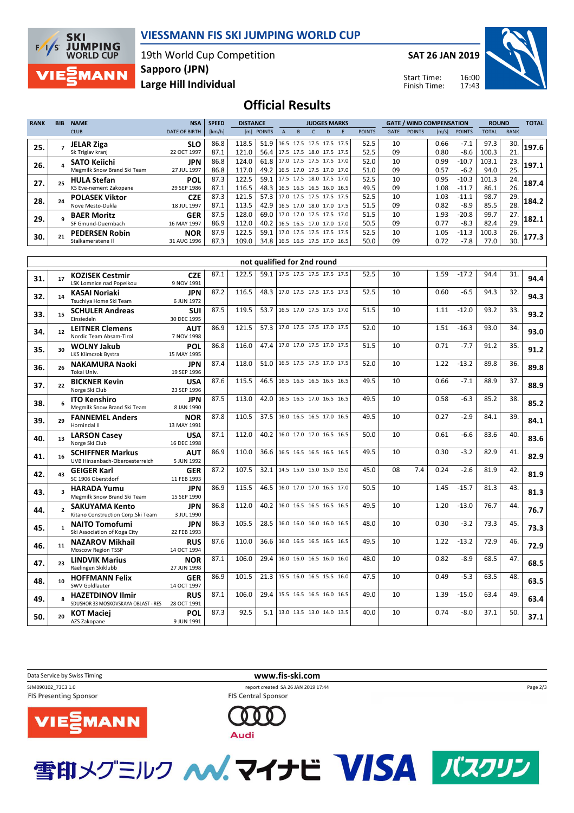

## **VIESSMANN FIS SKI JUMPING WORLD CUP**

19th World Cup Competition **Large Hill Individual Sapporo (JPN)**

**SAT 26 JAN 2019**

Start Time: Finish Time:



**Official Results**

| <b>RANK</b> | <b>BIB</b> | <b>NAME</b>                 | <b>NSA</b>           | <b>SPEED</b> | <b>DISTANCE</b> |                                 | <b>JUDGES MARKS</b> |                          |  |   |                          | <b>GATE / WIND COMPENSATION</b> |             |               |       | <b>ROUND</b>  |              | <b>TOTAL</b> |       |
|-------------|------------|-----------------------------|----------------------|--------------|-----------------|---------------------------------|---------------------|--------------------------|--|---|--------------------------|---------------------------------|-------------|---------------|-------|---------------|--------------|--------------|-------|
|             |            | <b>CLUB</b>                 | <b>DATE OF BIRTH</b> | [km/h]       |                 | [m] POINTS                      |                     |                          |  | D |                          | <b>POINTS</b>                   | <b>GATE</b> | <b>POINTS</b> | [m/s] | <b>POINTS</b> | <b>TOTAL</b> | <b>RANK</b>  |       |
| 25.         |            | <b>JELAR Ziga</b>           | <b>SLO</b>           | 86.8         | 118.5           | 51.9                            |                     |                          |  |   | 16.5 17.5 17.5 17.5 17.5 | 52.5                            | 10          |               | 0.66  | $-7.1$        | 97.3         | 30.          | 197.6 |
|             |            | Sk Triglav kranj            | 22 OCT 1997          | 87.1         | 121.0           | 56.4 17.5 17.5 18.0 17.5 17.5   |                     |                          |  |   |                          | 52.5                            | 09          |               | 0.80  | $-8.6$        | 100.3        | 21.          |       |
| 26.         |            | <b>SATO Keiichi</b>         | <b>JPN</b>           | 86.8         | 124.0           | 61.8   17.0 17.5 17.5 17.5 17.0 |                     |                          |  |   |                          | 52.0                            | 10          |               | 0.99  | $-10.7$       | 103.1        | 23.          | 197.1 |
|             |            | Megmilk Snow Brand Ski Team | 27 JUL 1997          | 86.8         | 117.0           | 49.2 16.5 17.0 17.5 17.0 17.0   |                     |                          |  |   |                          | 51.0                            | 09          |               | 0.57  | $-6.2$        | 94.0         | 25.          |       |
| 27.         |            | <b>HULA Stefan</b>          | <b>POL</b>           | 87.3         | 122.5           | 59.1                            |                     |                          |  |   | 17.5 17.5 18.0 17.5 17.0 | 52.5                            | 10          |               | 0.95  | $-10.3$       | 101.3        | 24.          | 187.4 |
|             |            | KS Eve-nement Zakopane      | 29 SEP 1986          | 87.1         | 116.5           | 48.3 16.5 16.5 16.5 16.0 16.5   |                     |                          |  |   |                          | 49.5                            | 09          |               | 1.08  | $-11.7$       | 86.1         | 26.          |       |
| 28.         |            | <b>POLASEK Viktor</b>       | <b>CZE</b>           | 87.3         | 121.5           | 57.3                            |                     | 17.0 17.5 17.5 17.5 17.5 |  |   |                          | 52.5                            | 10          |               | 1.03  | $-11.1$       | 98.7         | 29.          | 184.2 |
|             |            | Nove Mesto-Dukla            | 18 JUL 1997          | 87.1         | 113.5           | 42.9                            |                     |                          |  |   | 16.5 17.0 18.0 17.0 17.5 | 51.5                            | 09          |               | 0.82  | $-8.9$        | 85.5         | 28.          |       |
| 29.         |            | <b>BAER Moritz</b>          | <b>GER</b>           | 87.5         | 128.0           | 69.0 17.0 17.0 17.5 17.5 17.0   |                     |                          |  |   |                          | 51.5                            | 10          |               | 1.93  | $-20.8$       | 99.7         | 27.          | 182.1 |
|             |            | SF Gmund-Duernbach          | 16 MAY 1997          | 86.9         | 112.0           | 40.2                            |                     |                          |  |   | 16.5 16.5 17.0 17.0 17.0 | 50.5                            | 09          |               | 0.77  | $-8.3$        | 82.4         | 29.          |       |
| 30.         |            | <b>PEDERSEN Robin</b>       | <b>NOR</b>           | 87.9         | 122.5           | 59.1                            |                     |                          |  |   | 17.0 17.5 17.5 17.5 17.5 | 52.5                            | 10          |               | 1.05  | $-11.3$       | 100.3        | 26.          | 177.3 |
|             |            | Stalkameratene II           | 31 AUG 1996          | 87.3         | 109.0           | 34.8   16.5 16.5 17.5 17.0 16.5 |                     |                          |  |   |                          | 50.0                            | 09          |               | 0.72  | $-7.8$        | 77.0         | 30.          |       |

|     |                         |                                                                |                           |      |       |      | not qualified for 2nd round   |  |      |    |     |      |         |      |     |      |
|-----|-------------------------|----------------------------------------------------------------|---------------------------|------|-------|------|-------------------------------|--|------|----|-----|------|---------|------|-----|------|
| 31. | 17                      | <b>KOZISEK Cestmir</b><br>LSK Lomnice nad Popelkou             | <b>CZE</b><br>9 NOV 1991  | 87.1 | 122.5 |      | 59.1 17.5 17.5 17.5 17.5 17.5 |  | 52.5 | 10 |     | 1.59 | $-17.2$ | 94.4 | 31. | 94.4 |
| 32. | 14                      | <b>KASAI Noriaki</b><br>Tsuchiya Home Ski Team                 | <b>JPN</b><br>6 JUN 1972  | 87.2 | 116.5 |      | 48.3 17.0 17.5 17.5 17.5 17.5 |  | 52.5 | 10 |     | 0.60 | $-6.5$  | 94.3 | 32. | 94.3 |
| 33. | 15                      | <b>SCHULER Andreas</b><br>Einsiedeln                           | <b>SUI</b><br>30 DEC 1995 | 87.5 | 119.5 | 53.7 | 16.5 17.0 17.5 17.5 17.0      |  | 51.5 | 10 |     | 1.11 | $-12.0$ | 93.2 | 33. | 93.2 |
| 34. | 12                      | <b>LEITNER Clemens</b><br>Nordic Team Absam-Tirol              | <b>AUT</b><br>7 NOV 1998  | 86.9 | 121.5 | 57.3 | 17.0 17.5 17.5 17.0 17.5      |  | 52.0 | 10 |     | 1.51 | $-16.3$ | 93.0 | 34. | 93.0 |
| 35. | 30                      | <b>WOLNY Jakub</b><br>LKS Klimczok Bystra                      | POL<br>15 MAY 1995        | 86.8 | 116.0 | 47.4 | 17.0 17.0 17.5 17.0 17.5      |  | 51.5 | 10 |     | 0.71 | $-7.7$  | 91.2 | 35. | 91.2 |
| 36. | 26                      | <b>NAKAMURA Naoki</b><br>Tokai Univ.                           | <b>JPN</b><br>19 SEP 1996 | 87.4 | 118.0 | 51.0 | 16.5 17.5 17.5 17.0 17.5      |  | 52.0 | 10 |     | 1.22 | $-13.2$ | 89.8 | 36. | 89.8 |
| 37. | 22                      | <b>BICKNER Kevin</b><br>Norge Ski Club                         | <b>USA</b><br>23 SEP 1996 | 87.6 | 115.5 | 46.5 | 16.5 16.5 16.5 16.5 16.5      |  | 49.5 | 10 |     | 0.66 | $-7.1$  | 88.9 | 37. | 88.9 |
| 38. | 6                       | <b>ITO Kenshiro</b><br>Megmilk Snow Brand Ski Team             | <b>JPN</b><br>8 JAN 1990  | 87.5 | 113.0 | 42.0 | 16.5 16.5 17.0 16.5 16.5      |  | 49.5 | 10 |     | 0.58 | $-6.3$  | 85.2 | 38. | 85.2 |
| 39. | 29                      | <b>FANNEMEL Anders</b><br>Hornindal II                         | <b>NOR</b><br>13 MAY 1991 | 87.8 | 110.5 | 37.5 | 16.0 16.5 16.5 17.0 16.5      |  | 49.5 | 10 |     | 0.27 | $-2.9$  | 84.1 | 39. | 84.1 |
| 40. | 13                      | <b>LARSON Casev</b><br>Norge Ski Club                          | <b>USA</b><br>16 DEC 1998 | 87.1 | 112.0 | 40.2 | 16.0 17.0 17.0 16.5 16.5      |  | 50.0 | 10 |     | 0.61 | $-6.6$  | 83.6 | 40. | 83.6 |
| 41. | 16                      | <b>SCHIFFNER Markus</b><br>UVB Hinzenbach-Oberoesterreich      | <b>AUT</b><br>5 JUN 1992  | 86.9 | 110.0 | 36.6 | 16.5 16.5 16.5 16.5 16.5      |  | 49.5 | 10 |     | 0.30 | $-3.2$  | 82.9 | 41. | 82.9 |
| 42. | 43                      | <b>GEIGER Karl</b><br>SC 1906 Oberstdorf                       | <b>GER</b><br>11 FEB 1993 | 87.2 | 107.5 | 32.1 | 14.5 15.0 15.0 15.0 15.0      |  | 45.0 | 08 | 7.4 | 0.24 | $-2.6$  | 81.9 | 42. | 81.9 |
| 43. | $\overline{\mathbf{3}}$ | <b>HARADA Yumu</b><br>Megmilk Snow Brand Ski Team              | JPN<br>15 SEP 1990        | 86.9 | 115.5 | 46.5 | 16.0 17.0 17.0 16.5 17.0      |  | 50.5 | 10 |     | 1.45 | $-15.7$ | 81.3 | 43. | 81.3 |
| 44. | $\mathbf{z}$            | <b>SAKUYAMA Kento</b><br>Kitano Construction Corp. Ski Team    | <b>JPN</b><br>3 JUL 1990  | 86.8 | 112.0 | 40.2 | 16.0 16.5 16.5 16.5 16.5      |  | 49.5 | 10 |     | 1.20 | $-13.0$ | 76.7 | 44. | 76.7 |
| 45. | $\mathbf{1}$            | <b>NAITO Tomofumi</b><br>Ski Association of Koga City          | <b>JPN</b><br>22 FEB 1993 | 86.3 | 105.5 | 28.5 | 16.0 16.0 16.0 16.0 16.5      |  | 48.0 | 10 |     | 0.30 | $-3.2$  | 73.3 | 45. | 73.3 |
| 46. | 11                      | <b>NAZAROV Mikhail</b><br>Moscow Region TSSP                   | <b>RUS</b><br>14 OCT 1994 | 87.6 | 110.0 | 36.6 | 16.0 16.5 16.5 16.5 16.5      |  | 49.5 | 10 |     | 1.22 | $-13.2$ | 72.9 | 46. | 72.9 |
| 47. | 23                      | <b>LINDVIK Marius</b><br>Raelingen Skiklubb                    | <b>NOR</b><br>27 JUN 1998 | 87.1 | 106.0 | 29.4 | 16.0 16.0 16.5 16.0 16.0      |  | 48.0 | 10 |     | 0.82 | $-8.9$  | 68.5 | 47. | 68.5 |
| 48. | 10                      | <b>HOFFMANN Felix</b><br>SWV Goldlauter                        | <b>GER</b><br>14 OCT 1997 | 86.9 | 101.5 | 21.3 | 15.5 16.0 16.5 15.5 16.0      |  | 47.5 | 10 |     | 0.49 | $-5.3$  | 63.5 | 48. | 63.5 |
| 49. | $\mathbf{R}$            | <b>HAZETDINOV Ilmir</b><br>SDUSHOR 33 MOSKOVSKAYA OBLAST - RES | <b>RUS</b><br>28 OCT 1991 | 87.1 | 106.0 | 29.4 | 15.5 16.5 16.5 16.0 16.5      |  | 49.0 | 10 |     | 1.39 | $-15.0$ | 63.4 | 49. | 63.4 |
| 50. | 20                      | <b>KOT Maciej</b><br>AZS Zakopane                              | POL<br>9 JUN 1991         | 87.3 | 92.5  | 5.1  | 13.0 13.5 13.0 14.0 13.5      |  | 40.0 | 10 |     | 0.74 | $-8.0$  | 37.1 | 50. | 37.1 |

Data Service by Swiss Timing **www.fis-ski.com**

FIS Presenting Sponsor



SJM090102\_73C3 1.0 report created SA 26 JAN 2019 17:44 FIS Central Sponsor



雪印メグミルク ヘベ. マイナビ VISA バスクリン



Page 2/3